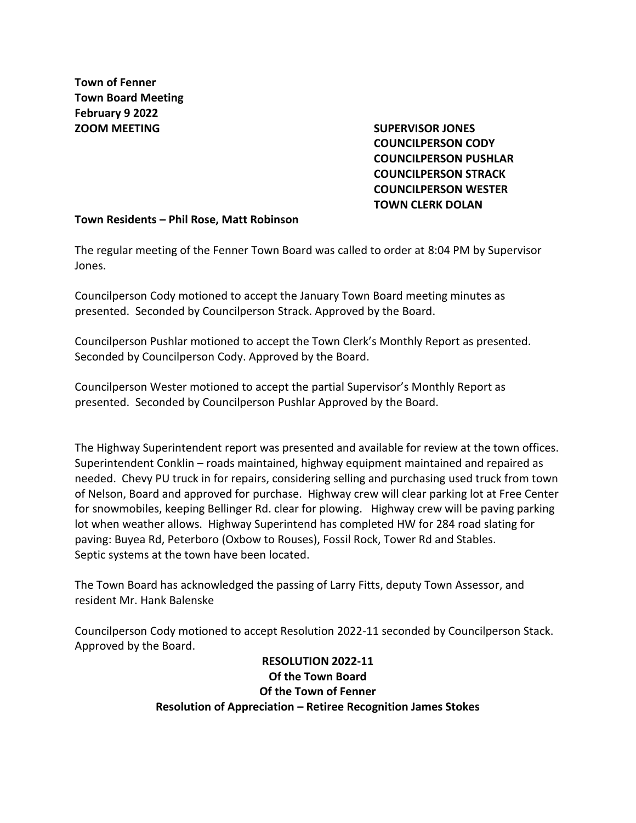**Town of Fenner Town Board Meeting February 9 2022 ZOOM MEETING SUPERVISOR JONES** 

**COUNCILPERSON CODY COUNCILPERSON PUSHLAR COUNCILPERSON STRACK COUNCILPERSON WESTER TOWN CLERK DOLAN**

#### **Town Residents – Phil Rose, Matt Robinson**

The regular meeting of the Fenner Town Board was called to order at 8:04 PM by Supervisor Jones.

Councilperson Cody motioned to accept the January Town Board meeting minutes as presented. Seconded by Councilperson Strack. Approved by the Board.

Councilperson Pushlar motioned to accept the Town Clerk's Monthly Report as presented. Seconded by Councilperson Cody. Approved by the Board.

Councilperson Wester motioned to accept the partial Supervisor's Monthly Report as presented. Seconded by Councilperson Pushlar Approved by the Board.

The Highway Superintendent report was presented and available for review at the town offices. Superintendent Conklin – roads maintained, highway equipment maintained and repaired as needed. Chevy PU truck in for repairs, considering selling and purchasing used truck from town of Nelson, Board and approved for purchase. Highway crew will clear parking lot at Free Center for snowmobiles, keeping Bellinger Rd. clear for plowing. Highway crew will be paving parking lot when weather allows. Highway Superintend has completed HW for 284 road slating for paving: Buyea Rd, Peterboro (Oxbow to Rouses), Fossil Rock, Tower Rd and Stables. Septic systems at the town have been located.

The Town Board has acknowledged the passing of Larry Fitts, deputy Town Assessor, and resident Mr. Hank Balenske

Councilperson Cody motioned to accept Resolution 2022-11 seconded by Councilperson Stack. Approved by the Board.

> **RESOLUTION 2022-11 Of the Town Board Of the Town of Fenner Resolution of Appreciation – Retiree Recognition James Stokes**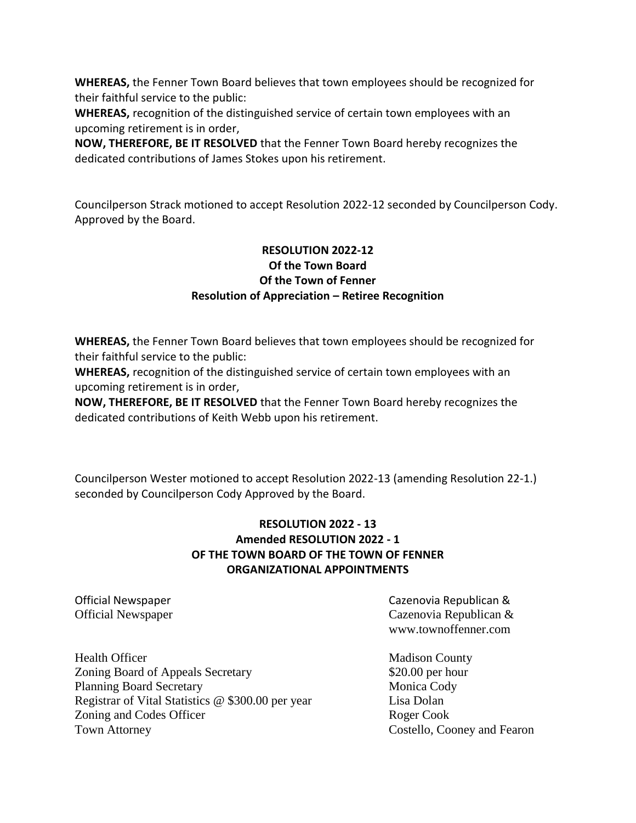**WHEREAS,** the Fenner Town Board believes that town employees should be recognized for their faithful service to the public:

**WHEREAS,** recognition of the distinguished service of certain town employees with an upcoming retirement is in order,

**NOW, THEREFORE, BE IT RESOLVED** that the Fenner Town Board hereby recognizes the dedicated contributions of James Stokes upon his retirement.

Councilperson Strack motioned to accept Resolution 2022-12 seconded by Councilperson Cody. Approved by the Board.

# **RESOLUTION 2022-12 Of the Town Board Of the Town of Fenner Resolution of Appreciation – Retiree Recognition**

**WHEREAS,** the Fenner Town Board believes that town employees should be recognized for their faithful service to the public:

**WHEREAS,** recognition of the distinguished service of certain town employees with an upcoming retirement is in order,

**NOW, THEREFORE, BE IT RESOLVED** that the Fenner Town Board hereby recognizes the dedicated contributions of Keith Webb upon his retirement.

Councilperson Wester motioned to accept Resolution 2022-13 (amending Resolution 22-1.) seconded by Councilperson Cody Approved by the Board.

# **RESOLUTION 2022 - 13 Amended RESOLUTION 2022 - 1 OF THE TOWN BOARD OF THE TOWN OF FENNER ORGANIZATIONAL APPOINTMENTS**

Official Newspaper Cazenovia Republican & Official Newspaper Cazenovia Republican & www.townoffenner.com

Health Officer **Madison County Madison County** Zoning Board of Appeals Secretary \$20.00 per hour Planning Board Secretary Monica Cody Registrar of Vital Statistics @ \$300.00 per year Lisa Dolan Zoning and Codes Officer Roger Cook Town Attorney Costello, Cooney and Fearon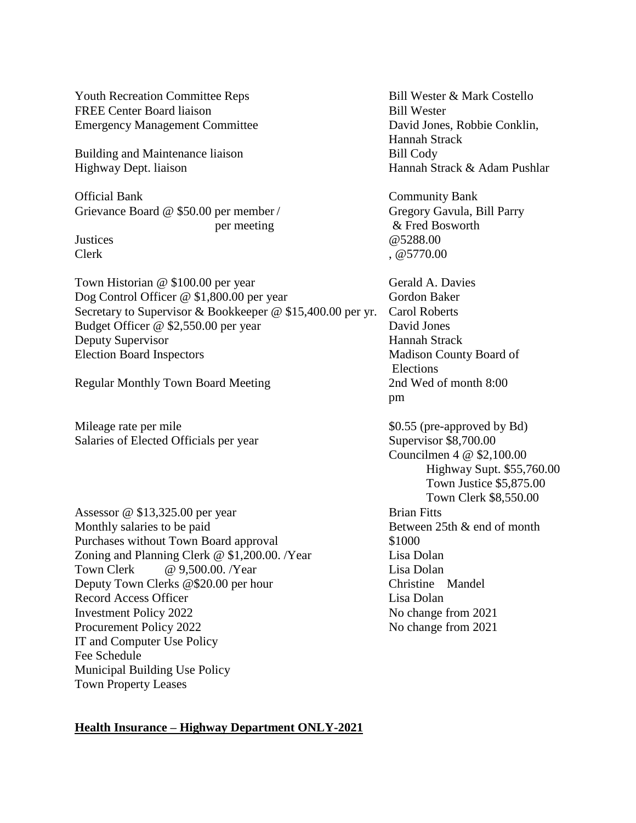Youth Recreation Committee Reps Bill Wester & Mark Costello FREE Center Board liaison Bill Wester Emergency Management Committee David Jones, Robbie Conklin,

Building and Maintenance liaison Bill Cody Highway Dept. liaison Hannah Strack & Adam Pushlar

Official Bank Community Bank Grievance Board @ \$50.00 per member / Gregory Gavula, Bill Parry

Town Historian @ \$100.00 per year Gerald A. Davies Dog Control Officer @ \$1,800.00 per year Gordon Baker Secretary to Supervisor & Bookkeeper @ \$15,400.00 per yr. Carol Roberts Budget Officer @ \$2,550.00 per year David Jones Deputy Supervisor Hannah Strack Election Board Inspectors Madison County Board of

Regular Monthly Town Board Meeting 2nd Wed of month 8:00

Mileage rate per mile  $$0.55$  (pre-approved by Bd) Salaries of Elected Officials per year Supervisor \$8,700.00

Assessor @ \$13,325.00 per year Brian Fitts Monthly salaries to be paid Between 25th & end of month Purchases without Town Board approval \$1000 Zoning and Planning Clerk @ \$1,200.00. /Year Lisa Dolan Town Clerk  $\omega$  9.500.00. /Year Lisa Dolan Deputy Town Clerks @\$20.00 per hour Christine Mandel Record Access Officer Lisa Dolan Investment Policy 2022 No change from 2021 Procurement Policy 2022 No change from 2021 IT and Computer Use Policy Fee Schedule Municipal Building Use Policy Town Property Leases

Hannah Strack

 per meeting & Fred Bosworth Justices @5288.00 Clerk . @ 5770.00

> Elections pm

Councilmen 4 @ \$2,100.00 Highway Supt. \$55,760.00 Town Justice \$5,875.00 Town Clerk \$8,550.00

#### **Health Insurance – Highway Department ONLY-2021**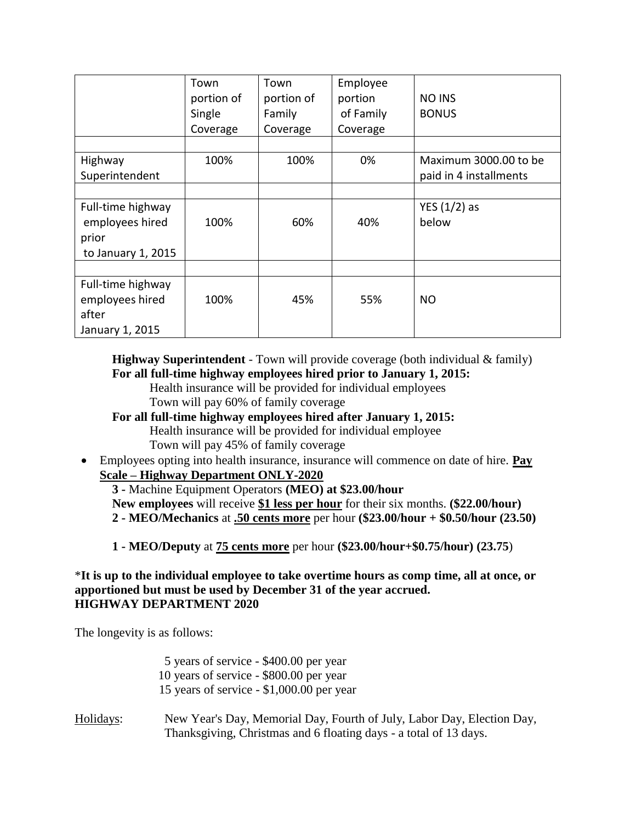|                    | Town       | Town       | Employee  |                        |
|--------------------|------------|------------|-----------|------------------------|
|                    | portion of | portion of | portion   | <b>NO INS</b>          |
|                    | Single     | Family     | of Family | <b>BONUS</b>           |
|                    | Coverage   | Coverage   | Coverage  |                        |
|                    |            |            |           |                        |
| Highway            | 100%       | 100%       | 0%        | Maximum 3000.00 to be  |
| Superintendent     |            |            |           | paid in 4 installments |
|                    |            |            |           |                        |
| Full-time highway  |            |            |           | YES $(1/2)$ as         |
| employees hired    | 100%       | 60%        | 40%       | below                  |
| prior              |            |            |           |                        |
| to January 1, 2015 |            |            |           |                        |
|                    |            |            |           |                        |
| Full-time highway  |            |            |           |                        |
| employees hired    | 100%       | 45%        | 55%       | NO.                    |
| after              |            |            |           |                        |
| January 1, 2015    |            |            |           |                        |

**Highway Superintendent** - Town will provide coverage (both individual & family) **For all full-time highway employees hired prior to January 1, 2015:**

- Health insurance will be provided for individual employees Town will pay 60% of family coverage
- **For all full-time highway employees hired after January 1, 2015:** Health insurance will be provided for individual employee Town will pay 45% of family coverage
- Employees opting into health insurance, insurance will commence on date of hire. **Pay Scale – Highway Department ONLY-2020**
	- **3 -** Machine Equipment Operators **(MEO) at \$23.00/hour New employees** will receive **\$1 less per hour** for their six months. **(\$22.00/hour) 2 - MEO/Mechanics** at **.50 cents more** per hour **(\$23.00/hour + \$0.50/hour (23.50)**
	- **1 - MEO/Deputy** at **75 cents more** per hour **(\$23.00/hour+\$0.75/hour) (23.75**)

# \***It is up to the individual employee to take overtime hours as comp time, all at once, or apportioned but must be used by December 31 of the year accrued. HIGHWAY DEPARTMENT 2020**

The longevity is as follows:

|           | 5 years of service - \$400.00 per year<br>10 years of service - \$800.00 per year<br>15 years of service - \$1,000.00 per year              |
|-----------|---------------------------------------------------------------------------------------------------------------------------------------------|
| Holidays: | New Year's Day, Memorial Day, Fourth of July, Labor Day, Election Day,<br>Thanksgiving, Christmas and 6 floating days - a total of 13 days. |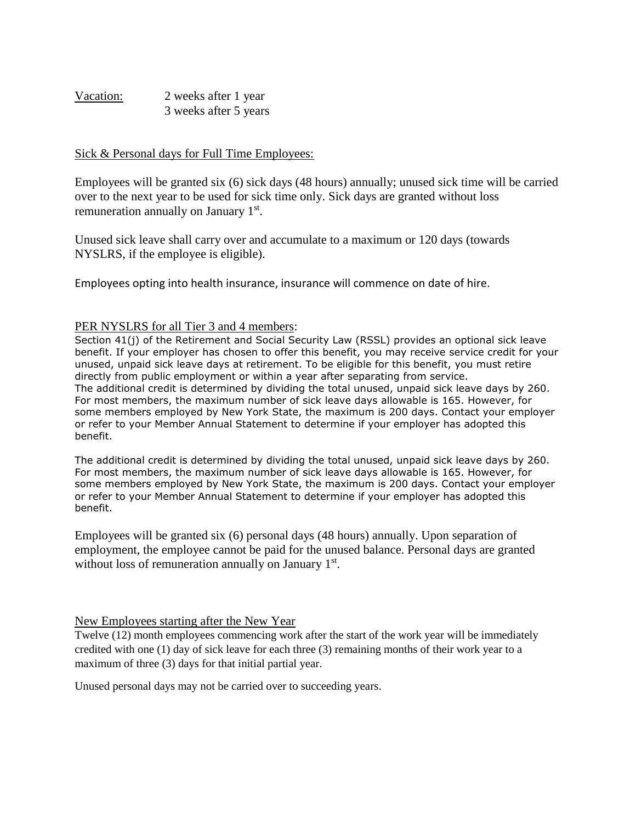Vacation: 2 weeks after 1 year 3 weeks after 5 years

### Sick & Personal days for Full Time Employees:

Employees will be granted six (6) sick days (48 hours) annually; unused sick time will be carried over to the next year to be used for sick time only. Sick days are granted without loss remuneration annually on January 1<sup>st</sup>.

Unused sick leave shall carry over and accumulate to a maximum or 120 days (towards NYSLRS, if the employee is eligible).

Employees opting into health insurance, insurance will commence on date of hire.

#### PER NYSLRS for all Tier 3 and 4 members:

Section 41(j) of the Retirement and Social Security Law (RSSL) provides an optional sick leave benefit. If your employer has chosen to offer this benefit, you may receive service credit for your unused, unpaid sick leave days at retirement. To be eligible for this benefit, you must retire directly from public employment or within a year after separating from service. The additional credit is determined by dividing the total unused, unpaid sick leave days by 260. For most members, the maximum number of sick leave days allowable is 165. However, for some members employed by New York State, the maximum is 200 days. Contact your employer or refer to your Member Annual Statement to determine if your employer has adopted this benefit.

The additional credit is determined by dividing the total unused, unpaid sick leave days by 260. For most members, the maximum number of sick leave days allowable is 165. However, for some members employed by New York State, the maximum is 200 days. Contact your employer or refer to your Member Annual Statement to determine if your employer has adopted this benefit.

Employees will be granted six (6) personal days (48 hours) annually. Upon separation of employment, the employee cannot be paid for the unused balance. Personal days are granted without loss of remuneration annually on January 1st.

#### New Employees starting after the New Year

Twelve (12) month employees commencing work after the start of the work year will be immediately credited with one (1) day of sick leave for each three (3) remaining months of their work year to a maximum of three (3) days for that initial partial year.

Unused personal days may not be carried over to succeeding years.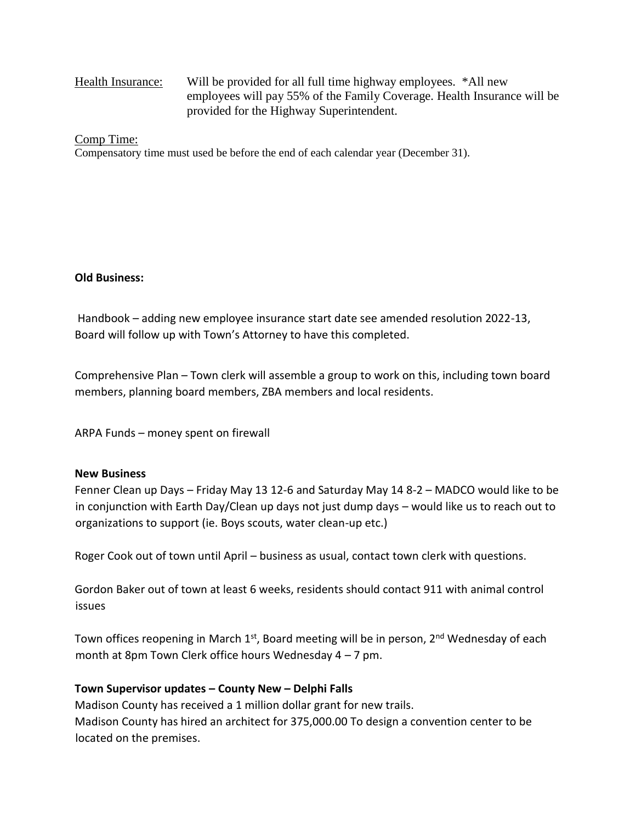# Health Insurance: Will be provided for all full time highway employees. \*All new employees will pay 55% of the Family Coverage. Health Insurance will be provided for the Highway Superintendent.

#### Comp Time:

Compensatory time must used be before the end of each calendar year (December 31).

### **Old Business:**

Handbook – adding new employee insurance start date see amended resolution 2022-13, Board will follow up with Town's Attorney to have this completed.

Comprehensive Plan – Town clerk will assemble a group to work on this, including town board members, planning board members, ZBA members and local residents.

ARPA Funds – money spent on firewall

#### **New Business**

Fenner Clean up Days – Friday May 13 12-6 and Saturday May 14 8-2 – MADCO would like to be in conjunction with Earth Day/Clean up days not just dump days – would like us to reach out to organizations to support (ie. Boys scouts, water clean-up etc.)

Roger Cook out of town until April – business as usual, contact town clerk with questions.

Gordon Baker out of town at least 6 weeks, residents should contact 911 with animal control issues

Town offices reopening in March  $1<sup>st</sup>$ , Board meeting will be in person,  $2<sup>nd</sup>$  Wednesday of each month at 8pm Town Clerk office hours Wednesday 4 – 7 pm.

### **Town Supervisor updates – County New – Delphi Falls**

Madison County has received a 1 million dollar grant for new trails. Madison County has hired an architect for 375,000.00 To design a convention center to be located on the premises.